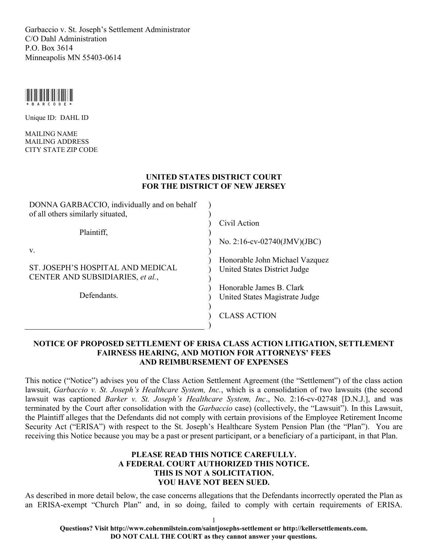Garbaccio v. St. Joseph's Settlement Administrator C/O Dahl Administration P.O. Box 3614 Minneapolis MN 55403-0614



Unique ID: DAHL ID

MAILING NAME MAILING ADDRESS CITY STATE ZIP CODE

### **UNITED STATES DISTRICT COURT FOR THE DISTRICT OF NEW JERSEY**

| DONNA GARBACCIO, individually and on behalf |                                |
|---------------------------------------------|--------------------------------|
| of all others similarly situated,           |                                |
|                                             | Civil Action                   |
| Plaintiff,                                  |                                |
|                                             | No. 2:16-cv-02740(JMV)(JBC)    |
| V.                                          |                                |
|                                             | Honorable John Michael Vazquez |
| ST. JOSEPH'S HOSPITAL AND MEDICAL           | United States District Judge   |
| CENTER AND SUBSIDIARIES, et al.,            |                                |
|                                             | Honorable James B. Clark       |
| Defendants.                                 | United States Magistrate Judge |
|                                             |                                |
|                                             | <b>CLASS ACTION</b>            |
|                                             |                                |

### **NOTICE OF PROPOSED SETTLEMENT OF ERISA CLASS ACTION LITIGATION, SETTLEMENT FAIRNESS HEARING, AND MOTION FOR ATTORNEYS' FEES AND REIMBURSEMENT OF EXPENSES**

This notice ("Notice") advises you of the Class Action Settlement Agreement (the "Settlement") of the class action lawsuit, *Garbaccio v. St. Joseph's Healthcare System, Inc.*, which is a consolidation of two lawsuits (the second lawsuit was captioned *Barker v. St. Joseph's Healthcare System, Inc*., No. 2:16-cv-02748 [D.N.J.], and was terminated by the Court after consolidation with the *Garbaccio* case) (collectively, the "Lawsuit"). In this Lawsuit, the Plaintiff alleges that the Defendants did not comply with certain provisions of the Employee Retirement Income Security Act ("ERISA") with respect to the St. Joseph's Healthcare System Pension Plan (the "Plan"). You are receiving this Notice because you may be a past or present participant, or a beneficiary of a participant, in that Plan.

### **PLEASE READ THIS NOTICE CAREFULLY. A FEDERAL COURT AUTHORIZED THIS NOTICE. THIS IS NOT A SOLICITATION. YOU HAVE NOT BEEN SUED.**

As described in more detail below, the case concerns allegations that the Defendants incorrectly operated the Plan as an ERISA-exempt "Church Plan" and, in so doing, failed to comply with certain requirements of ERISA.

**Questions? Visit http://www.cohenmilstein.com/saintjosephs-settlement or http://kellersettlements.com. DO NOT CALL THE COURT as they cannot answer your questions.**

1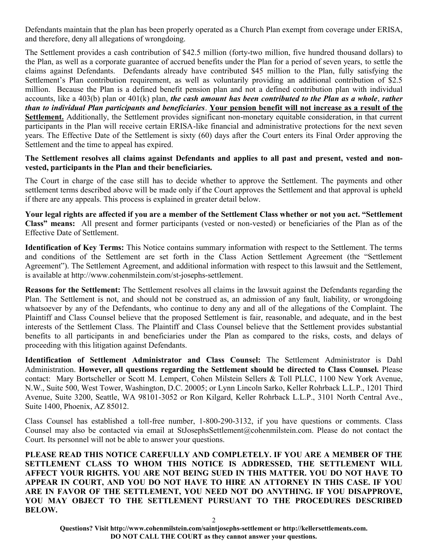Defendants maintain that the plan has been properly operated as a Church Plan exempt from coverage under ERISA, and therefore, deny all allegations of wrongdoing.

The Settlement provides a cash contribution of \$42.5 million (forty-two million, five hundred thousand dollars) to the Plan, as well as a corporate guarantee of accrued benefits under the Plan for a period of seven years, to settle the claims against Defendants. Defendants already have contributed \$45 million to the Plan, fully satisfying the Settlement's Plan contribution requirement, as well as voluntarily providing an additional contribution of \$2.5 million. Because the Plan is a defined benefit pension plan and not a defined contribution plan with individual accounts, like a 403(b) plan or 401(k) plan, *the cash amount has been contributed to the Plan as a whole*, *rather than to individual Plan participants and beneficiaries*. **Your pension benefit will not increase as a result of the Settlement.** Additionally, the Settlement provides significant non-monetary equitable consideration, in that current participants in the Plan will receive certain ERISA-like financial and administrative protections for the next seven years. The Effective Date of the Settlement is sixty (60) days after the Court enters its Final Order approving the Settlement and the time to appeal has expired.

### **The Settlement resolves all claims against Defendants and applies to all past and present, vested and nonvested, participants in the Plan and their beneficiaries.**

The Court in charge of the case still has to decide whether to approve the Settlement. The payments and other settlement terms described above will be made only if the Court approves the Settlement and that approval is upheld if there are any appeals. This process is explained in greater detail below.

**Your legal rights are affected if you are a member of the Settlement Class whether or not you act. "Settlement Class" means:** All present and former participants (vested or non-vested) or beneficiaries of the Plan as of the Effective Date of Settlement.

**Identification of Key Terms:** This Notice contains summary information with respect to the Settlement. The terms and conditions of the Settlement are set forth in the Class Action Settlement Agreement (the "Settlement Agreement"). The Settlement Agreement, and additional information with respect to this lawsuit and the Settlement, is available at http://www.cohenmilstein.com/st-josephs-settlement.

**Reasons for the Settlement:** The Settlement resolves all claims in the lawsuit against the Defendants regarding the Plan. The Settlement is not, and should not be construed as, an admission of any fault, liability, or wrongdoing whatsoever by any of the Defendants, who continue to deny any and all of the allegations of the Complaint. The Plaintiff and Class Counsel believe that the proposed Settlement is fair, reasonable, and adequate, and in the best interests of the Settlement Class. The Plaintiff and Class Counsel believe that the Settlement provides substantial benefits to all participants in and beneficiaries under the Plan as compared to the risks, costs, and delays of proceeding with this litigation against Defendants.

**Identification of Settlement Administrator and Class Counsel:** The Settlement Administrator is Dahl Administration. **However, all questions regarding the Settlement should be directed to Class Counsel.** Please contact: Mary Bortscheller or Scott M. Lempert, Cohen Milstein Sellers & Toll PLLC, 1100 New York Avenue, N.W., Suite 500, West Tower, Washington, D.C. 20005; or Lynn Lincoln Sarko, Keller Rohrback L.L.P., 1201 Third Avenue, Suite 3200, Seattle, WA 98101-3052 or Ron Kilgard, Keller Rohrback L.L.P., 3101 North Central Ave., Suite 1400, Phoenix, AZ 85012.

Class Counsel has established a toll-free number, 1-800-290-3132, if you have questions or comments. Class Counsel may also be contacted via email at StJosephsSettlement@cohenmilstein.com. Please do not contact the Court. Its personnel will not be able to answer your questions.

**PLEASE READ THIS NOTICE CAREFULLY AND COMPLETELY. IF YOU ARE A MEMBER OF THE SETTLEMENT CLASS TO WHOM THIS NOTICE IS ADDRESSED, THE SETTLEMENT WILL AFFECT YOUR RIGHTS. YOU ARE NOT BEING SUED IN THIS MATTER. YOU DO NOT HAVE TO APPEAR IN COURT, AND YOU DO NOT HAVE TO HIRE AN ATTORNEY IN THIS CASE. IF YOU ARE IN FAVOR OF THE SETTLEMENT, YOU NEED NOT DO ANYTHING. IF YOU DISAPPROVE, YOU MAY OBJECT TO THE SETTLEMENT PURSUANT TO THE PROCEDURES DESCRIBED BELOW.**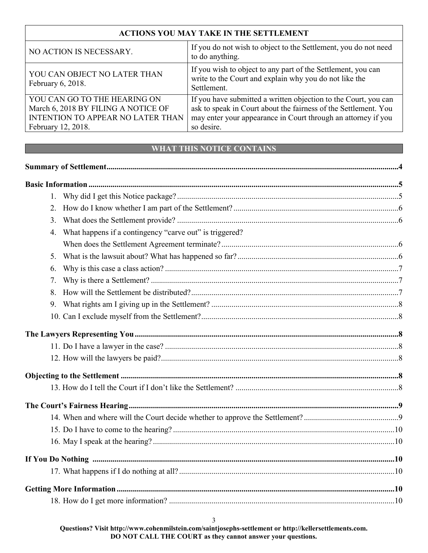#### **ACTIONS YOU MAY TAKE IN THE SETTLEMENT** NO ACTION IS NECESSARY. If you do not wish to object to the Settlement, you do not need to do anything. YOU CAN OBJECT NO LATER THAN February 6, 2018. If you wish to object to any part of the Settlement, you can write to the Court and explain why you do not like the Settlement. YOU CAN GO TO THE HEARING ON March 6, 2018 BY FILING A NOTICE OF INTENTION TO APPEAR NO LATER THAN February 12, 2018. If you have submitted a written objection to the Court, you can ask to speak in Court about the fairness of the Settlement. You may enter your appearance in Court through an attorney if you so desire.

## **WHAT THIS NOTICE CONTAINS**

| 1.               |                                                         |  |
|------------------|---------------------------------------------------------|--|
| 2.               |                                                         |  |
| $\overline{3}$ . |                                                         |  |
| $\overline{4}$ . | What happens if a contingency "carve out" is triggered? |  |
|                  |                                                         |  |
| 5.               |                                                         |  |
| 6.               |                                                         |  |
| 7.               |                                                         |  |
| 8.               |                                                         |  |
| 9.               |                                                         |  |
|                  |                                                         |  |
|                  |                                                         |  |
|                  |                                                         |  |
|                  |                                                         |  |
|                  |                                                         |  |
|                  |                                                         |  |
|                  |                                                         |  |
|                  |                                                         |  |
|                  |                                                         |  |
|                  |                                                         |  |
|                  |                                                         |  |
|                  |                                                         |  |
|                  |                                                         |  |
|                  |                                                         |  |
|                  |                                                         |  |

**Questions? Visit http://www.cohenmilstein.com/saintjosephs-settlement or http://kellersettlements.com. DO NOT CALL THE COURT as they cannot answer your questions.**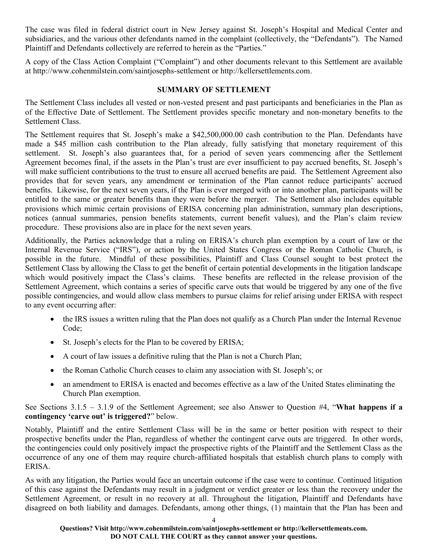The case was filed in federal district court in New Jersey against St. Joseph's Hospital and Medical Center and subsidiaries, and the various other defendants named in the complaint (collectively, the "Defendants"). The Named Plaintiff and Defendants collectively are referred to herein as the "Parties."

A copy of the Class Action Complaint ("Complaint") and other documents relevant to this Settlement are available at http://www.cohenmilstein.com/saintjosephs-settlement or http://kellersettlements.com.

## **SUMMARY OF SETTLEMENT**

The Settlement Class includes all vested or non-vested present and past participants and beneficiaries in the Plan as of the Effective Date of Settlement. The Settlement provides specific monetary and non-monetary benefits to the Settlement Class.

The Settlement requires that St. Joseph's make a \$42,500,000.00 cash contribution to the Plan. Defendants have made a \$45 million cash contribution to the Plan already, fully satisfying that monetary requirement of this settlement. St. Joseph's also guarantees that, for a period of seven years commencing after the Settlement Agreement becomes final, if the assets in the Plan's trust are ever insufficient to pay accrued benefits, St. Joseph's will make sufficient contributions to the trust to ensure all accrued benefits are paid. The Settlement Agreement also provides that for seven years, any amendment or termination of the Plan cannot reduce participants' accrued benefits. Likewise, for the next seven years, if the Plan is ever merged with or into another plan, participants will be entitled to the same or greater benefits than they were before the merger. The Settlement also includes equitable provisions which mimic certain provisions of ERISA concerning plan administration, summary plan descriptions, notices (annual summaries, pension benefits statements, current benefit values), and the Plan's claim review procedure. These provisions also are in place for the next seven years.

Additionally, the Parties acknowledge that a ruling on ERISA's church plan exemption by a court of law or the Internal Revenue Service ("IRS"), or action by the United States Congress or the Roman Catholic Church, is possible in the future. Mindful of these possibilities, Plaintiff and Class Counsel sought to best protect the Settlement Class by allowing the Class to get the benefit of certain potential developments in the litigation landscape which would positively impact the Class's claims. These benefits are reflected in the release provision of the Settlement Agreement, which contains a series of specific carve outs that would be triggered by any one of the five possible contingencies, and would allow class members to pursue claims for relief arising under ERISA with respect to any event occurring after:

- the IRS issues a written ruling that the Plan does not qualify as a Church Plan under the Internal Revenue Code;
- St. Joseph's elects for the Plan to be covered by ERISA;
- A court of law issues a definitive ruling that the Plan is not a Church Plan;
- the Roman Catholic Church ceases to claim any association with St. Joseph's; or
- an amendment to ERISA is enacted and becomes effective as a law of the United States eliminating the Church Plan exemption.

See Sections 3.1.5 – 3.1.9 of the Settlement Agreement; see also Answer to Question #4, "**What happens if a contingency 'carve out' is triggered?**" below.

Notably, Plaintiff and the entire Settlement Class will be in the same or better position with respect to their prospective benefits under the Plan, regardless of whether the contingent carve outs are triggered. In other words, the contingencies could only positively impact the prospective rights of the Plaintiff and the Settlement Class as the occurrence of any one of them may require church-affiliated hospitals that establish church plans to comply with ERISA.

As with any litigation, the Parties would face an uncertain outcome if the case were to continue. Continued litigation of this case against the Defendants may result in a judgment or verdict greater or less than the recovery under the Settlement Agreement, or result in no recovery at all. Throughout the litigation, Plaintiff and Defendants have disagreed on both liability and damages. Defendants, among other things, (1) maintain that the Plan has been and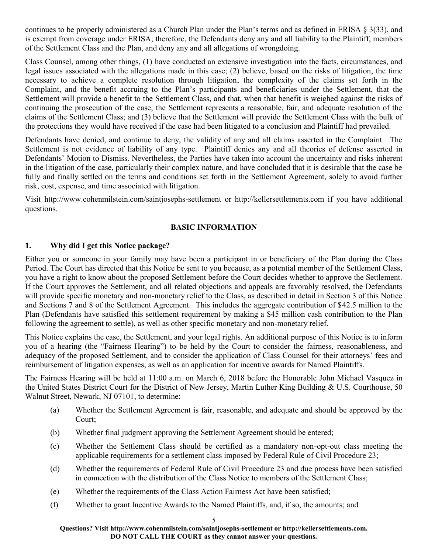continues to be properly administered as a Church Plan under the Plan's terms and as defined in ERISA § 3(33), and is exempt from coverage under ERISA; therefore, the Defendants deny any and all liability to the Plaintiff, members of the Settlement Class and the Plan, and deny any and all allegations of wrongdoing.

Class Counsel, among other things, (1) have conducted an extensive investigation into the facts, circumstances, and legal issues associated with the allegations made in this case; (2) believe, based on the risks of litigation, the time necessary to achieve a complete resolution through litigation, the complexity of the claims set forth in the Complaint, and the benefit accruing to the Plan's participants and beneficiaries under the Settlement, that the Settlement will provide a benefit to the Settlement Class, and that, when that benefit is weighed against the risks of continuing the prosecution of the case, the Settlement represents a reasonable, fair, and adequate resolution of the claims of the Settlement Class; and (3) believe that the Settlement will provide the Settlement Class with the bulk of the protections they would have received if the case had been litigated to a conclusion and Plaintiff had prevailed.

Defendants have denied, and continue to deny, the validity of any and all claims asserted in the Complaint. The Settlement is not evidence of liability of any type. Plaintiff denies any and all theories of defense asserted in Defendants' Motion to Dismiss. Nevertheless, the Parties have taken into account the uncertainty and risks inherent in the litigation of the case, particularly their complex nature, and have concluded that it is desirable that the case be fully and finally settled on the terms and conditions set forth in the Settlement Agreement, solely to avoid further risk, cost, expense, and time associated with litigation.

Visit http://www.cohenmilstein.com/saintjosephs-settlement or http://kellersettlements.com if you have additional questions.

## **BASIC INFORMATION**

### **1. Why did I get this Notice package?**

Either you or someone in your family may have been a participant in or beneficiary of the Plan during the Class Period. The Court has directed that this Notice be sent to you because, as a potential member of the Settlement Class, you have a right to know about the proposed Settlement before the Court decides whether to approve the Settlement. If the Court approves the Settlement, and all related objections and appeals are favorably resolved, the Defendants will provide specific monetary and non-monetary relief to the Class, as described in detail in Section 3 of this Notice and Sections 7 and 8 of the Settlement Agreement. This includes the aggregate contribution of \$42.5 million to the Plan (Defendants have satisfied this settlement requirement by making a \$45 million cash contribution to the Plan following the agreement to settle), as well as other specific monetary and non-monetary relief.

This Notice explains the case, the Settlement, and your legal rights. An additional purpose of this Notice is to inform you of a hearing (the "Fairness Hearing") to be held by the Court to consider the fairness, reasonableness, and adequacy of the proposed Settlement, and to consider the application of Class Counsel for their attorneys' fees and reimbursement of litigation expenses, as well as an application for incentive awards for Named Plaintiffs.

The Fairness Hearing will be held at 11:00 a.m. on March 6, 2018 before the Honorable John Michael Vasquez in the United States District Court for the District of New Jersey, Martin Luther King Building & U.S. Courthouse, 50 Walnut Street, Newark, NJ 07101, to determine:

- (a) Whether the Settlement Agreement is fair, reasonable, and adequate and should be approved by the Court;
- (b) Whether final judgment approving the Settlement Agreement should be entered;
- (c) Whether the Settlement Class should be certified as a mandatory non-opt-out class meeting the applicable requirements for a settlement class imposed by Federal Rule of Civil Procedure 23;
- (d) Whether the requirements of Federal Rule of Civil Procedure 23 and due process have been satisfied in connection with the distribution of the Class Notice to members of the Settlement Class;
- (e) Whether the requirements of the Class Action Fairness Act have been satisfied;
- (f) Whether to grant Incentive Awards to the Named Plaintiffs, and, if so, the amounts; and

#### 5

**Questions? Visit http://www.cohenmilstein.com/saintjosephs-settlement or http://kellersettlements.com. DO NOT CALL THE COURT as they cannot answer your questions.**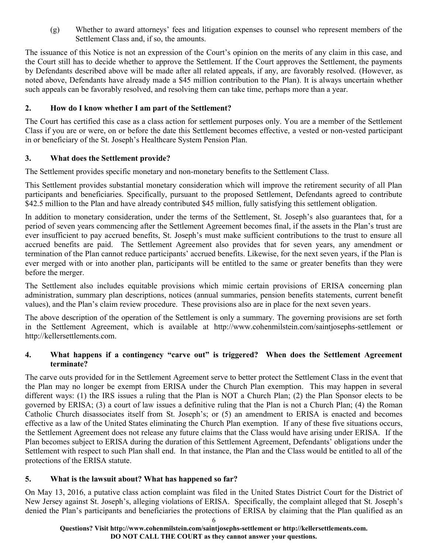(g) Whether to award attorneys' fees and litigation expenses to counsel who represent members of the Settlement Class and, if so, the amounts.

The issuance of this Notice is not an expression of the Court's opinion on the merits of any claim in this case, and the Court still has to decide whether to approve the Settlement. If the Court approves the Settlement, the payments by Defendants described above will be made after all related appeals, if any, are favorably resolved. (However, as noted above, Defendants have already made a \$45 million contribution to the Plan). It is always uncertain whether such appeals can be favorably resolved, and resolving them can take time, perhaps more than a year.

## **2. How do I know whether I am part of the Settlement?**

The Court has certified this case as a class action for settlement purposes only. You are a member of the Settlement Class if you are or were, on or before the date this Settlement becomes effective, a vested or non-vested participant in or beneficiary of the St. Joseph's Healthcare System Pension Plan.

## **3. What does the Settlement provide?**

The Settlement provides specific monetary and non-monetary benefits to the Settlement Class.

This Settlement provides substantial monetary consideration which will improve the retirement security of all Plan participants and beneficiaries. Specifically, pursuant to the proposed Settlement, Defendants agreed to contribute \$42.5 million to the Plan and have already contributed \$45 million, fully satisfying this settlement obligation.

In addition to monetary consideration, under the terms of the Settlement, St. Joseph's also guarantees that, for a period of seven years commencing after the Settlement Agreement becomes final, if the assets in the Plan's trust are ever insufficient to pay accrued benefits, St. Joseph's must make sufficient contributions to the trust to ensure all accrued benefits are paid. The Settlement Agreement also provides that for seven years, any amendment or termination of the Plan cannot reduce participants' accrued benefits. Likewise, for the next seven years, if the Plan is ever merged with or into another plan, participants will be entitled to the same or greater benefits than they were before the merger.

The Settlement also includes equitable provisions which mimic certain provisions of ERISA concerning plan administration, summary plan descriptions, notices (annual summaries, pension benefits statements, current benefit values), and the Plan's claim review procedure. These provisions also are in place for the next seven years.

The above description of the operation of the Settlement is only a summary. The governing provisions are set forth in the Settlement Agreement, which is available at http://www.cohenmilstein.com/saintjosephs-settlement or http://kellersettlements.com.

### **4. What happens if a contingency "carve out" is triggered? When does the Settlement Agreement terminate?**

The carve outs provided for in the Settlement Agreement serve to better protect the Settlement Class in the event that the Plan may no longer be exempt from ERISA under the Church Plan exemption. This may happen in several different ways: (1) the IRS issues a ruling that the Plan is NOT a Church Plan; (2) the Plan Sponsor elects to be governed by ERISA; (3) a court of law issues a definitive ruling that the Plan is not a Church Plan; (4) the Roman Catholic Church disassociates itself from St. Joseph's; or (5) an amendment to ERISA is enacted and becomes effective as a law of the United States eliminating the Church Plan exemption. If any of these five situations occurs, the Settlement Agreement does not release any future claims that the Class would have arising under ERISA. If the Plan becomes subject to ERISA during the duration of this Settlement Agreement, Defendants' obligations under the Settlement with respect to such Plan shall end. In that instance, the Plan and the Class would be entitled to all of the protections of the ERISA statute.

## **5. What is the lawsuit about? What has happened so far?**

On May 13, 2016, a putative class action complaint was filed in the United States District Court for the District of New Jersey against St. Joseph's, alleging violations of ERISA. Specifically, the complaint alleged that St. Joseph's denied the Plan's participants and beneficiaries the protections of ERISA by claiming that the Plan qualified as an

**Questions? Visit http://www.cohenmilstein.com/saintjosephs-settlement or http://kellersettlements.com. DO NOT CALL THE COURT as they cannot answer your questions.**

6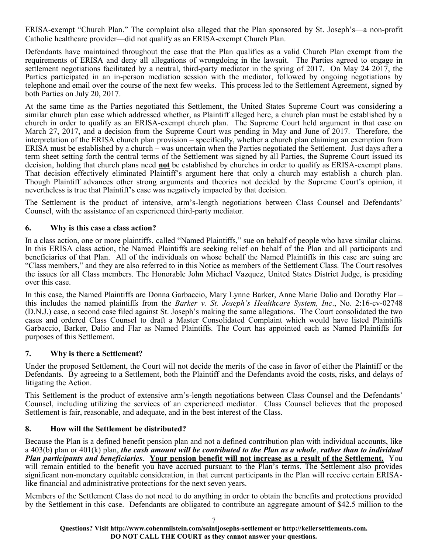ERISA-exempt "Church Plan." The complaint also alleged that the Plan sponsored by St. Joseph's—a non-profit Catholic healthcare provider—did not qualify as an ERISA-exempt Church Plan.

Defendants have maintained throughout the case that the Plan qualifies as a valid Church Plan exempt from the requirements of ERISA and deny all allegations of wrongdoing in the lawsuit. The Parties agreed to engage in settlement negotiations facilitated by a neutral, third-party mediator in the spring of 2017. On May 24 2017, the Parties participated in an in-person mediation session with the mediator, followed by ongoing negotiations by telephone and email over the course of the next few weeks. This process led to the Settlement Agreement, signed by both Parties on July 20, 2017.

At the same time as the Parties negotiated this Settlement, the United States Supreme Court was considering a similar church plan case which addressed whether, as Plaintiff alleged here, a church plan must be established by a church in order to qualify as an ERISA-exempt church plan. The Supreme Court held argument in that case on March 27, 2017, and a decision from the Supreme Court was pending in May and June of 2017. Therefore, the interpretation of the ERISA church plan provision – specifically, whether a church plan claiming an exemption from ERISA must be established by a church – was uncertain when the Parties negotiated the Settlement. Just days after a term sheet setting forth the central terms of the Settlement was signed by all Parties, the Supreme Court issued its decision, holding that church plans need **not** be established by churches in order to qualify as ERISA-exempt plans. That decision effectively eliminated Plaintiff's argument here that only a church may establish a church plan. Though Plaintiff advances other strong arguments and theories not decided by the Supreme Court's opinion, it nevertheless is true that Plaintiff's case was negatively impacted by that decision.

The Settlement is the product of intensive, arm's-length negotiations between Class Counsel and Defendants' Counsel, with the assistance of an experienced third-party mediator.

## **6. Why is this case a class action?**

In a class action, one or more plaintiffs, called "Named Plaintiffs," sue on behalf of people who have similar claims. In this ERISA class action, the Named Plaintiffs are seeking relief on behalf of the Plan and all participants and beneficiaries of that Plan. All of the individuals on whose behalf the Named Plaintiffs in this case are suing are "Class members," and they are also referred to in this Notice as members of the Settlement Class. The Court resolves the issues for all Class members. The Honorable John Michael Vazquez, United States District Judge, is presiding over this case.

In this case, the Named Plaintiffs are Donna Garbaccio, Mary Lynne Barker, Anne Marie Dalio and Dorothy Flar – this includes the named plaintiffs from the *Barker v. St. Joseph's Healthcare System, Inc*., No. 2:16-cv-02748 (D.N.J.) case, a second case filed against St. Joseph's making the same allegations. The Court consolidated the two cases and ordered Class Counsel to draft a Master Consolidated Complaint which would have listed Plaintiffs Garbaccio, Barker, Dalio and Flar as Named Plaintiffs. The Court has appointed each as Named Plaintiffs for purposes of this Settlement.

## **7. Why is there a Settlement?**

Under the proposed Settlement, the Court will not decide the merits of the case in favor of either the Plaintiff or the Defendants. By agreeing to a Settlement, both the Plaintiff and the Defendants avoid the costs, risks, and delays of litigating the Action.

This Settlement is the product of extensive arm's-length negotiations between Class Counsel and the Defendants' Counsel, including utilizing the services of an experienced mediator. Class Counsel believes that the proposed Settlement is fair, reasonable, and adequate, and in the best interest of the Class.

## **8. How will the Settlement be distributed?**

Because the Plan is a defined benefit pension plan and not a defined contribution plan with individual accounts, like a 403(b) plan or 401(k) plan, *the cash amount will be contributed to the Plan as a whole*, *rather than to individual Plan participants and beneficiaries*. **Your pension benefit will not increase as a result of the Settlement.** You will remain entitled to the benefit you have accrued pursuant to the Plan's terms. The Settlement also provides significant non-monetary equitable consideration, in that current participants in the Plan will receive certain ERISAlike financial and administrative protections for the next seven years.

Members of the Settlement Class do not need to do anything in order to obtain the benefits and protections provided by the Settlement in this case. Defendants are obligated to contribute an aggregate amount of \$42.5 million to the

7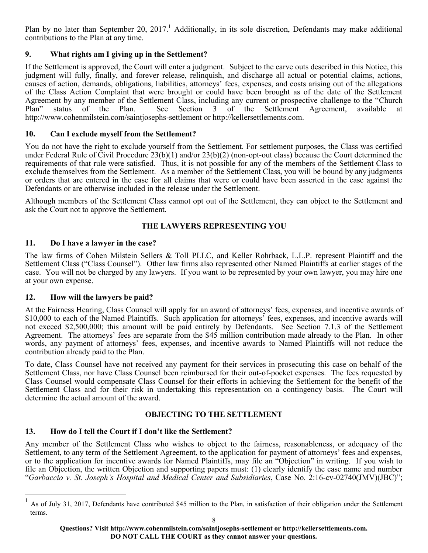Plan by no later than September 20, 2017.<sup>1</sup> Additionally, in its sole discretion, Defendants may make additional contributions to the Plan at any time.

## **9. What rights am I giving up in the Settlement?**

If the Settlement is approved, the Court will enter a judgment. Subject to the carve outs described in this Notice, this judgment will fully, finally, and forever release, relinquish, and discharge all actual or potential claims, actions, causes of action, demands, obligations, liabilities, attorneys' fees, expenses, and costs arising out of the allegations of the Class Action Complaint that were brought or could have been brought as of the date of the Settlement Agreement by any member of the Settlement Class, including any current or prospective challenge to the "Church Plan" status of the Plan. See Section 3 of the Settlement Agreement, available at http://www.cohenmilstein.com/saintjosephs-settlement or http://kellersettlements.com.

## **10. Can I exclude myself from the Settlement?**

You do not have the right to exclude yourself from the Settlement. For settlement purposes, the Class was certified under Federal Rule of Civil Procedure 23(b)(1) and/or 23(b)(2) (non-opt-out class) because the Court determined the requirements of that rule were satisfied. Thus, it is not possible for any of the members of the Settlement Class to exclude themselves from the Settlement. As a member of the Settlement Class, you will be bound by any judgments or orders that are entered in the case for all claims that were or could have been asserted in the case against the Defendants or are otherwise included in the release under the Settlement.

Although members of the Settlement Class cannot opt out of the Settlement, they can object to the Settlement and ask the Court not to approve the Settlement.

# **THE LAWYERS REPRESENTING YOU**

## **11. Do I have a lawyer in the case?**

The law firms of Cohen Milstein Sellers & Toll PLLC, and Keller Rohrback, L.L.P. represent Plaintiff and the Settlement Class ("Class Counsel"). Other law firms also represented other Named Plaintiffs at earlier stages of the case. You will not be charged by any lawyers. If you want to be represented by your own lawyer, you may hire one at your own expense.

## **12. How will the lawyers be paid?**

l

At the Fairness Hearing, Class Counsel will apply for an award of attorneys' fees, expenses, and incentive awards of \$10,000 to each of the Named Plaintiffs. Such application for attorneys' fees, expenses, and incentive awards will not exceed \$2,500,000; this amount will be paid entirely by Defendants. See Section 7.1.3 of the Settlement Agreement. The attorneys' fees are separate from the \$45 million contribution made already to the Plan. In other words, any payment of attorneys' fees, expenses, and incentive awards to Named Plaintiffs will not reduce the contribution already paid to the Plan.

To date, Class Counsel have not received any payment for their services in prosecuting this case on behalf of the Settlement Class, nor have Class Counsel been reimbursed for their out-of-pocket expenses. The fees requested by Class Counsel would compensate Class Counsel for their efforts in achieving the Settlement for the benefit of the Settlement Class and for their risk in undertaking this representation on a contingency basis. The Court will determine the actual amount of the award.

# **OBJECTING TO THE SETTLEMENT**

# **13. How do I tell the Court if I don't like the Settlement?**

Any member of the Settlement Class who wishes to object to the fairness, reasonableness, or adequacy of the Settlement, to any term of the Settlement Agreement, to the application for payment of attorneys' fees and expenses, or to the application for incentive awards for Named Plaintiffs, may file an "Objection" in writing. If you wish to file an Objection, the written Objection and supporting papers must: (1) clearly identify the case name and number "*Garbaccio v. St. Joseph's Hospital and Medical Center and Subsidiaries*, Case No. 2:16-cv-02740(JMV)(JBC)";

<sup>1</sup> As of July 31, 2017, Defendants have contributed \$45 million to the Plan, in satisfaction of their obligation under the Settlement terms.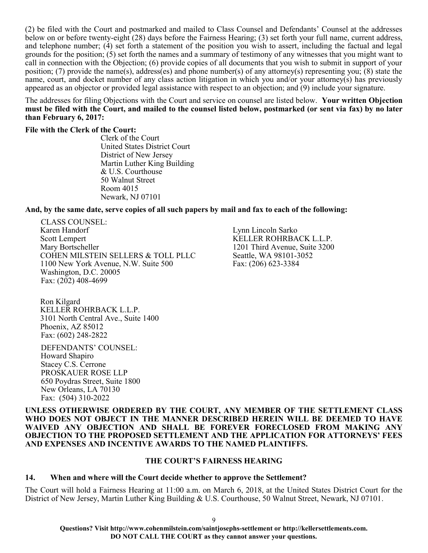(2) be filed with the Court and postmarked and mailed to Class Counsel and Defendants' Counsel at the addresses below on or before twenty-eight (28) days before the Fairness Hearing; (3) set forth your full name, current address, and telephone number; (4) set forth a statement of the position you wish to assert, including the factual and legal grounds for the position; (5) set forth the names and a summary of testimony of any witnesses that you might want to call in connection with the Objection; (6) provide copies of all documents that you wish to submit in support of your position; (7) provide the name(s), address(es) and phone number(s) of any attorney(s) representing you; (8) state the name, court, and docket number of any class action litigation in which you and/or your attorney(s) has previously appeared as an objector or provided legal assistance with respect to an objection; and (9) include your signature.

The addresses for filing Objections with the Court and service on counsel are listed below. **Your written Objection must be filed with the Court, and mailed to the counsel listed below, postmarked (or sent via fax) by no later than February 6, 2017:** 

### **File with the Clerk of the Court:**

Clerk of the Court United States District Court District of New Jersey Martin Luther King Building & U.S. Courthouse 50 Walnut Street Room 4015 Newark, NJ 07101

### **And, by the same date, serve copies of all such papers by mail and fax to each of the following:**

CLASS COUNSEL: Karen Handorf Scott Lempert Mary Bortscheller COHEN MILSTEIN SELLERS & TOLL PLLC 1100 New York Avenue, N.W. Suite 500 Washington, D.C. 20005 Fax: (202) 408-4699

Lynn Lincoln Sarko KELLER ROHRBACK L.L.P. 1201 Third Avenue, Suite 3200 Seattle, WA 98101-3052 Fax: (206) 623-3384

Ron Kilgard KELLER ROHRBACK L.L.P. 3101 North Central Ave., Suite 1400 Phoenix, AZ 85012 Fax: (602) 248-2822

DEFENDANTS' COUNSEL: Howard Shapiro Stacey C.S. Cerrone PROSKAUER ROSE LLP 650 Poydras Street, Suite 1800 New Orleans, LA 70130 Fax: (504) 310-2022

**UNLESS OTHERWISE ORDERED BY THE COURT, ANY MEMBER OF THE SETTLEMENT CLASS WHO DOES NOT OBJECT IN THE MANNER DESCRIBED HEREIN WILL BE DEEMED TO HAVE WAIVED ANY OBJECTION AND SHALL BE FOREVER FORECLOSED FROM MAKING ANY OBJECTION TO THE PROPOSED SETTLEMENT AND THE APPLICATION FOR ATTORNEYS' FEES AND EXPENSES AND INCENTIVE AWARDS TO THE NAMED PLAINTIFFS.**

### **THE COURT'S FAIRNESS HEARING**

### **14. When and where will the Court decide whether to approve the Settlement?**

The Court will hold a Fairness Hearing at 11:00 a.m. on March 6, 2018, at the United States District Court for the District of New Jersey, Martin Luther King Building & U.S. Courthouse, 50 Walnut Street, Newark, NJ 07101.